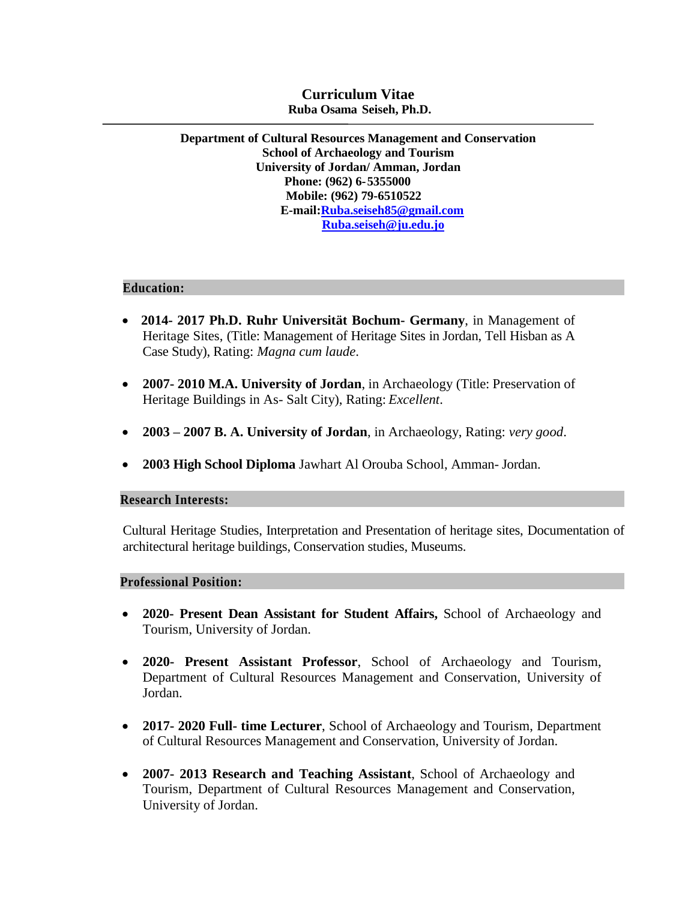# **Curriculum Vitae Ruba Osama Seiseh, Ph.D.**

**Department of Cultural Resources Management and Conservation School of Archaeology and Tourism University of Jordan/ Amman, Jordan Phone: (962) 6-5355000 Mobile: (962) 79-6510522 E-mail:Ruba.seiseh85@gmail.com [Ruba.seiseh@ju.edu.jo](mailto:Ruba.seiseh@ju.edu.jo)**

#### **Education:**

- **2014- 2017 Ph.D. Ruhr Universität Bochum- Germany**, in Management of Heritage Sites, (Title: Management of Heritage Sites in Jordan, Tell Hisban as A Case Study), Rating: *Magna cum laude*.
- **2007- 2010 M.A. University of Jordan**, in Archaeology (Title: Preservation of Heritage Buildings in As- Salt City), Rating: *Excellent*.
- **2003 – 2007 B. A. University of Jordan**, in Archaeology, Rating: *very good*.
- **2003 High School Diploma** Jawhart Al Orouba School, Amman- Jordan.

# **Research Interests:**

Cultural Heritage Studies, Interpretation and Presentation of heritage sites, Documentation of architectural heritage buildings, Conservation studies, Museums.

#### **Professional Position:**

- **2020- Present Dean Assistant for Student Affairs,** School of Archaeology and Tourism, University of Jordan.
- **2020- Present Assistant Professor**, School of Archaeology and Tourism, Department of Cultural Resources Management and Conservation, University of Jordan.
- **2017- 2020 Full- time Lecturer**, School of Archaeology and Tourism, Department of Cultural Resources Management and Conservation, University of Jordan.
- **2007- 2013 Research and Teaching Assistant**, School of Archaeology and Tourism, Department of Cultural Resources Management and Conservation, University of Jordan.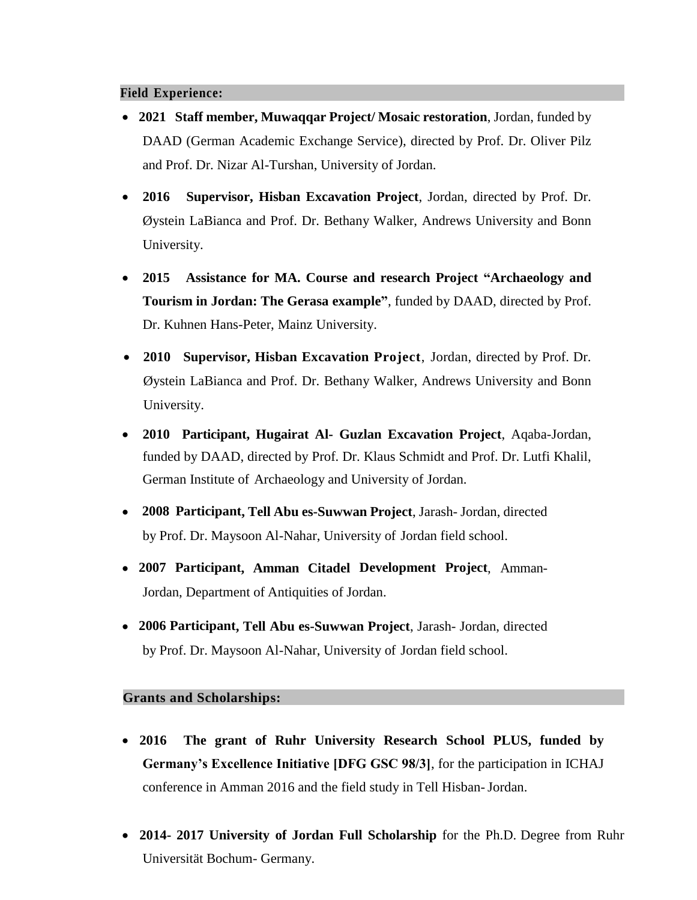# **Field Experience:**

- **2021 Staff member, Muwaqqar Project/ Mosaic restoration**, Jordan, funded by DAAD (German Academic Exchange Service), directed by Prof. Dr. Oliver Pilz and Prof. Dr. Nizar Al-Turshan, University of Jordan.
- **2016 Supervisor, Hisban Excavation Project**, Jordan, directed by Prof. Dr. Øystein LaBianca and Prof. Dr. Bethany Walker, Andrews University and Bonn University.
- **2015 Assistance for MA. Course and research Project "Archaeology and Tourism in Jordan: The Gerasa example"**, funded by DAAD, directed by Prof. Dr. Kuhnen Hans-Peter, Mainz University.
- **2010 Supervisor, Hisban Excavation Project**, Jordan, directed by Prof. Dr. Øystein LaBianca and Prof. Dr. Bethany Walker, Andrews University and Bonn University.
- **2010 Participant, Hugairat Al- Guzlan Excavation Project**, Aqaba-Jordan, funded by DAAD, directed by Prof. Dr. Klaus Schmidt and Prof. Dr. Lutfi Khalil, German Institute of Archaeology and University of Jordan.
- **2008 Participant, Tell Abu es-Suwwan Project**, Jarash- Jordan, directed by Prof. Dr. Maysoon Al-Nahar, University of Jordan field school.
- **2007 Participant, Amman Citadel Development Project**, Amman-Jordan, Department of Antiquities of Jordan.
- **2006 Participant, Tell Abu es-Suwwan Project**, Jarash- Jordan, directed by Prof. Dr. Maysoon Al-Nahar, University of Jordan field school.

# **Grants and Scholarships:**

- **2016 The grant of Ruhr University Research School PLUS, funded by Germany's Excellence Initiative [DFG GSC 98/3]**, for the participation in ICHAJ conference in Amman 2016 and the field study in Tell Hisban-Jordan.
- **2014- 2017 University of Jordan Full Scholarship** for the Ph.D. Degree from Ruhr Universität Bochum- Germany.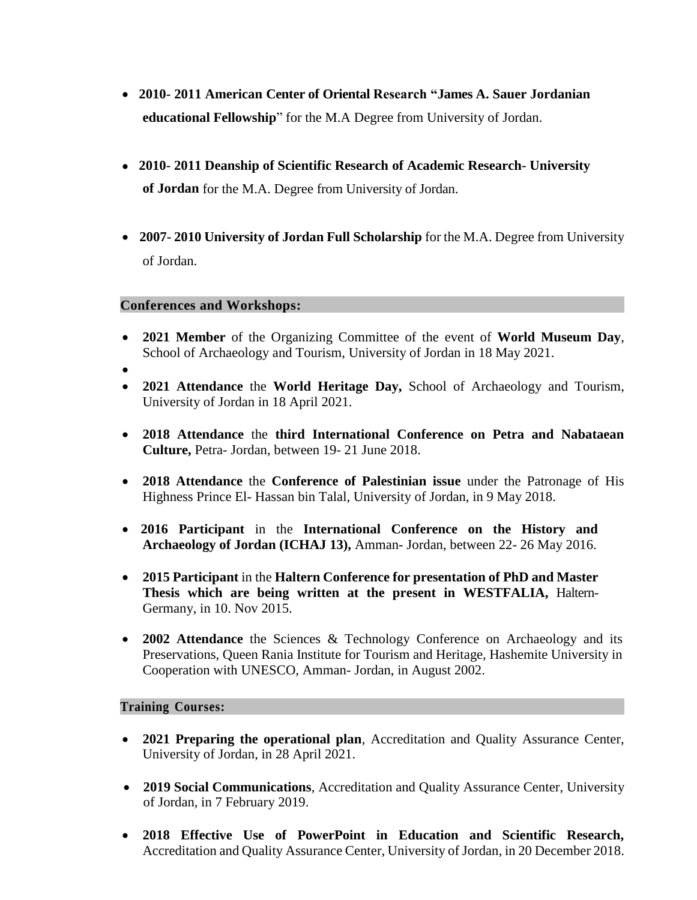- **2010- 2011 American Center of Oriental Research "James A. Sauer Jordanian educational Fellowship**" for the M.A Degree from University of Jordan.
- **2010- 2011 Deanship of Scientific Research of Academic Research- University of Jordan** for the M.A. Degree from University of Jordan.
- **2007- 2010 University of Jordan Full Scholarship** for the M.A. Degree from University of Jordan.

### **Conferences and Workshops:**

- **2021 Member** of the Organizing Committee of the event of **World Museum Day**, School of Archaeology and Tourism, University of Jordan in 18 May 2021.
- $\bullet$
- **2021 Attendance** the **World Heritage Day,** School of Archaeology and Tourism, University of Jordan in 18 April 2021.
- **2018 Attendance** the **third International Conference on Petra and Nabataean Culture,** Petra- Jordan, between 19- 21 June 2018.
- **2018 Attendance** the **Conference of Palestinian issue** under the Patronage of His Highness Prince El- Hassan bin Talal, University of Jordan, in 9 May 2018.
- **2016 Participant** in the **International Conference on the History and Archaeology of Jordan (ICHAJ 13),** Amman- Jordan, between 22- 26 May 2016.
- **2015 Participant** in the **Haltern Conference for presentation of PhD and Master Thesis which are being written at the present in WESTFALIA,** Haltern-Germany, in 10. Nov 2015.
- **2002 Attendance** the Sciences & Technology Conference on Archaeology and its Preservations, Queen Rania Institute for Tourism and Heritage, Hashemite University in Cooperation with UNESCO, Amman- Jordan, in August 2002.

#### **Training Courses:**

- **2021 Preparing the operational plan**, Accreditation and Quality Assurance Center, University of Jordan, in 28 April 2021.
- **2019 Social Communications**, Accreditation and Quality Assurance Center, University of Jordan, in 7 February 2019.
- **2018 Effective Use of PowerPoint in Education and Scientific Research,** Accreditation and Quality Assurance Center, University of Jordan, in 20 December 2018.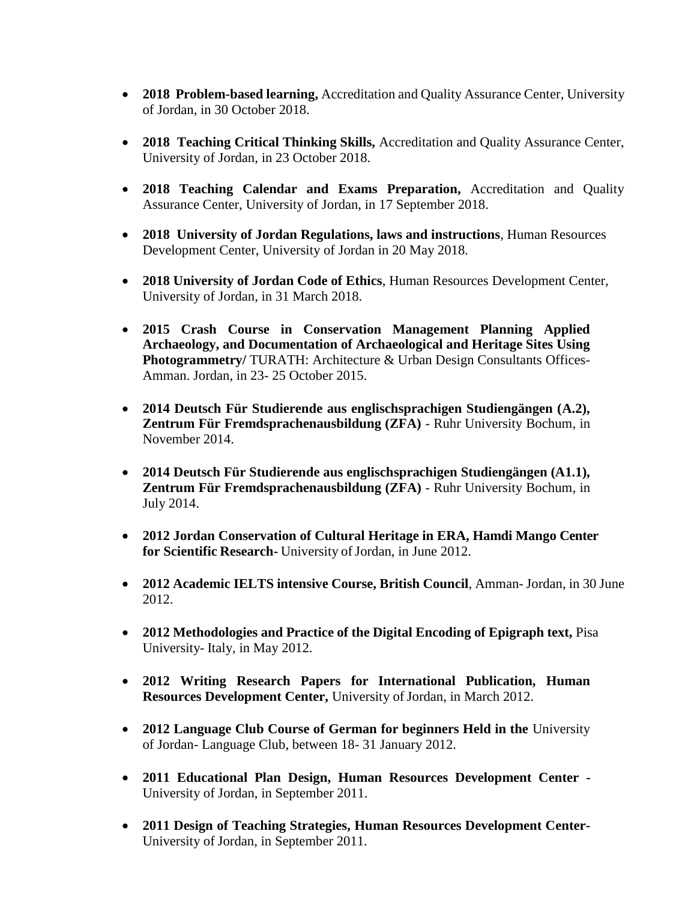- **2018 Problem-based learning,** Accreditation and Quality Assurance Center, University of Jordan, in 30 October 2018.
- **2018 Teaching Critical Thinking Skills,** Accreditation and Quality Assurance Center, University of Jordan, in 23 October 2018.
- **2018 Teaching Calendar and Exams Preparation,** Accreditation and Quality Assurance Center, University of Jordan, in 17 September 2018.
- **2018 University of Jordan Regulations, laws and instructions**, Human Resources Development Center, University of Jordan in 20 May 2018.
- **2018 University of Jordan Code of Ethics**, Human Resources Development Center, University of Jordan, in 31 March 2018.
- **2015 Crash Course in Conservation Management Planning Applied Archaeology, and Documentation of Archaeological and Heritage Sites Using Photogrammetry/ TURATH: Architecture & Urban Design Consultants Offices-**Amman. Jordan, in 23- 25 October 2015.
- **2014 Deutsch Für Studierende aus englischsprachigen Studiengängen (A.2), Zentrum Für Fremdsprachenausbildung (ZFA)** - Ruhr University Bochum, in November 2014.
- **2014 Deutsch Für Studierende aus englischsprachigen Studiengängen (A1.1), Zentrum Für Fremdsprachenausbildung (ZFA)** - Ruhr University Bochum, in July 2014.
- **2012 Jordan Conservation of Cultural Heritage in ERA, Hamdi Mango Center**  for Scientific Research-University of Jordan, in June 2012.
- **2012 Academic IELTS intensive Course, British Council**, Amman-Jordan, in 30 June 2012.
- **2012 Methodologies and Practice of the Digital Encoding of Epigraph text,** Pisa University- Italy, in May 2012.
- **2012 Writing Research Papers for International Publication, Human Resources Development Center, University of Jordan, in March 2012.**
- **2012 Language Club Course of German for beginners Held in the** University of Jordan- Language Club, between 18- 31 January 2012.
- **2011 Educational Plan Design, Human Resources Development Center -** University of Jordan, in September 2011.
- **2011 Design of Teaching Strategies, Human Resources Development Center-**University of Jordan, in September 2011.